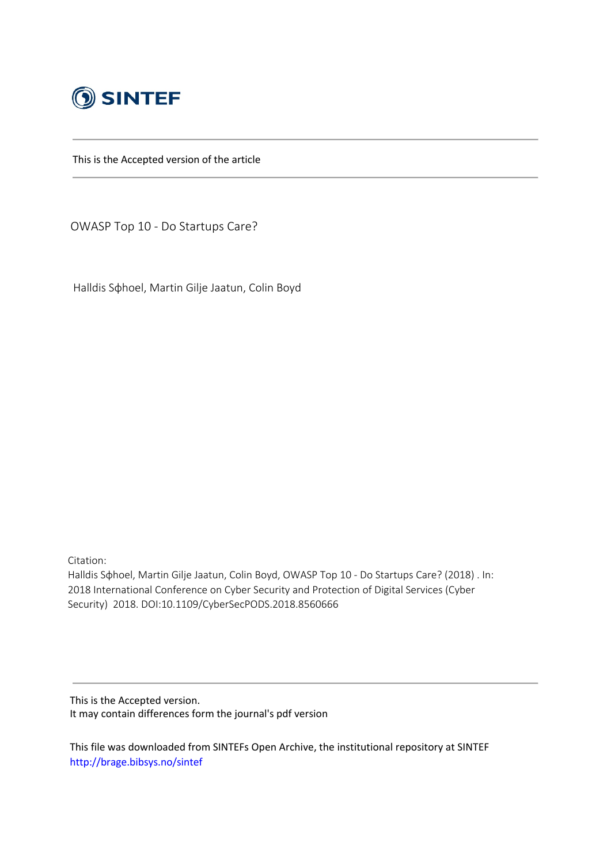

This is the Accepted version of the article

OWASP Top 10 - Do Startups Care?

Halldis Sϕhoel, Martin Gilje Jaatun, Colin Boyd

Citation:

Halldis Sohoel, Martin Gilje Jaatun, Colin Boyd, OWASP Top 10 - Do Startups Care? (2018). In: 2018 International Conference on Cyber Security and Protection of Digital Services (Cyber Security) 2018. DOI:10.1109/CyberSecPODS.2018.8560666

This is the Accepted version. It may contain differences form the journal's pdf version

This file was downloaded from SINTEFs Open Archive, the institutional repository at SINTEF http://brage.bibsys.no/sintef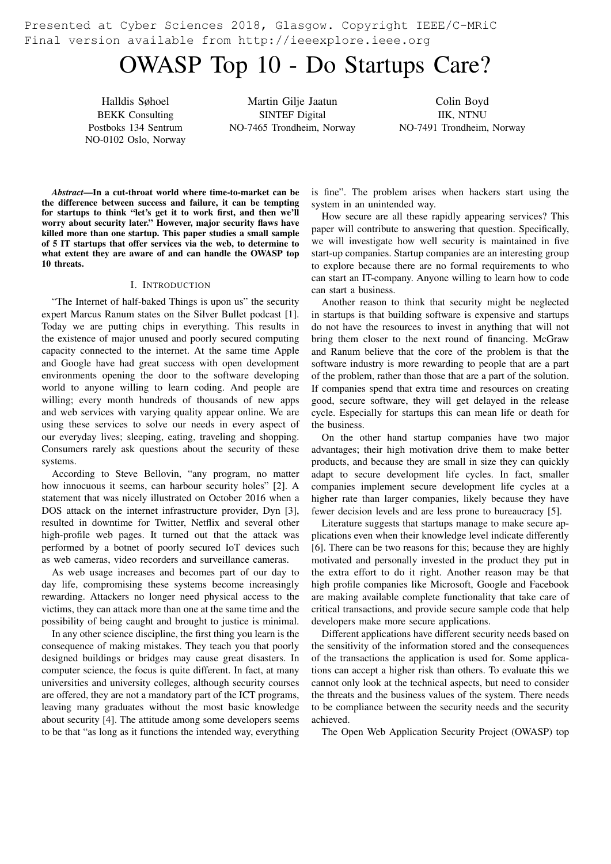Presented at Cyber Sciences 2018, Glasgow. Copyright IEEE/C-MRiC Final version available from http://ieeexplore.ieee.org

# OWASP Top 10 - Do Startups Care?

Halldis Søhoel BEKK Consulting Postboks 134 Sentrum NO-0102 Oslo, Norway

Martin Gilje Jaatun SINTEF Digital NO-7465 Trondheim, Norway

Colin Boyd IIK, NTNU NO-7491 Trondheim, Norway

*Abstract*—In a cut-throat world where time-to-market can be the difference between success and failure, it can be tempting for startups to think "let's get it to work first, and then we'll worry about security later." However, major security flaws have killed more than one startup. This paper studies a small sample of 5 IT startups that offer services via the web, to determine to what extent they are aware of and can handle the OWASP top 10 threats.

## I. INTRODUCTION

"The Internet of half-baked Things is upon us" the security expert Marcus Ranum states on the Silver Bullet podcast [1]. Today we are putting chips in everything. This results in the existence of major unused and poorly secured computing capacity connected to the internet. At the same time Apple and Google have had great success with open development environments opening the door to the software developing world to anyone willing to learn coding. And people are willing; every month hundreds of thousands of new apps and web services with varying quality appear online. We are using these services to solve our needs in every aspect of our everyday lives; sleeping, eating, traveling and shopping. Consumers rarely ask questions about the security of these systems.

According to Steve Bellovin, "any program, no matter how innocuous it seems, can harbour security holes" [2]. A statement that was nicely illustrated on October 2016 when a DOS attack on the internet infrastructure provider, Dyn [3], resulted in downtime for Twitter, Netflix and several other high-profile web pages. It turned out that the attack was performed by a botnet of poorly secured IoT devices such as web cameras, video recorders and surveillance cameras.

As web usage increases and becomes part of our day to day life, compromising these systems become increasingly rewarding. Attackers no longer need physical access to the victims, they can attack more than one at the same time and the possibility of being caught and brought to justice is minimal.

In any other science discipline, the first thing you learn is the consequence of making mistakes. They teach you that poorly designed buildings or bridges may cause great disasters. In computer science, the focus is quite different. In fact, at many universities and university colleges, although security courses are offered, they are not a mandatory part of the ICT programs, leaving many graduates without the most basic knowledge about security [4]. The attitude among some developers seems to be that "as long as it functions the intended way, everything

is fine". The problem arises when hackers start using the system in an unintended way.

How secure are all these rapidly appearing services? This paper will contribute to answering that question. Specifically, we will investigate how well security is maintained in five start-up companies. Startup companies are an interesting group to explore because there are no formal requirements to who can start an IT-company. Anyone willing to learn how to code can start a business.

Another reason to think that security might be neglected in startups is that building software is expensive and startups do not have the resources to invest in anything that will not bring them closer to the next round of financing. McGraw and Ranum believe that the core of the problem is that the software industry is more rewarding to people that are a part of the problem, rather than those that are a part of the solution. If companies spend that extra time and resources on creating good, secure software, they will get delayed in the release cycle. Especially for startups this can mean life or death for the business.

On the other hand startup companies have two major advantages; their high motivation drive them to make better products, and because they are small in size they can quickly adapt to secure development life cycles. In fact, smaller companies implement secure development life cycles at a higher rate than larger companies, likely because they have fewer decision levels and are less prone to bureaucracy [5].

Literature suggests that startups manage to make secure applications even when their knowledge level indicate differently [6]. There can be two reasons for this; because they are highly motivated and personally invested in the product they put in the extra effort to do it right. Another reason may be that high profile companies like Microsoft, Google and Facebook are making available complete functionality that take care of critical transactions, and provide secure sample code that help developers make more secure applications.

Different applications have different security needs based on the sensitivity of the information stored and the consequences of the transactions the application is used for. Some applications can accept a higher risk than others. To evaluate this we cannot only look at the technical aspects, but need to consider the threats and the business values of the system. There needs to be compliance between the security needs and the security achieved.

The Open Web Application Security Project (OWASP) top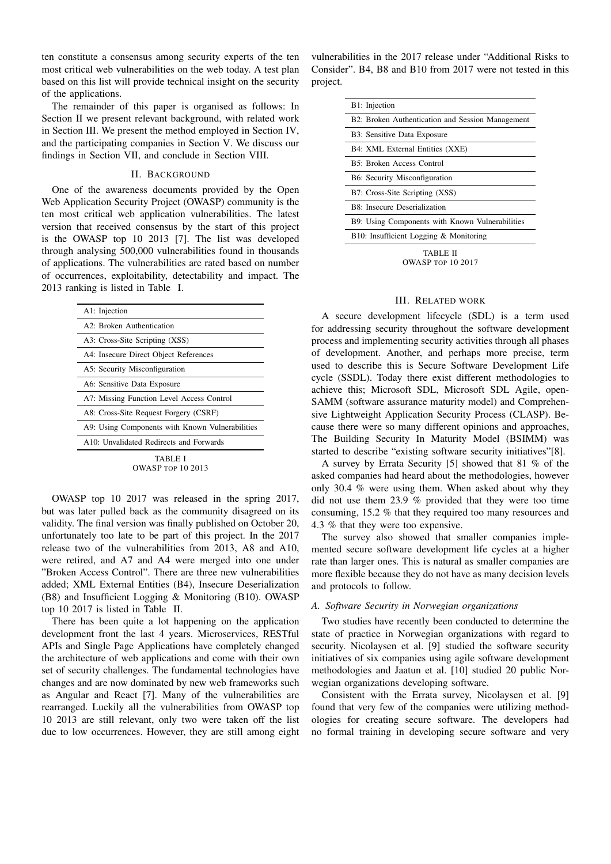ten constitute a consensus among security experts of the ten most critical web vulnerabilities on the web today. A test plan based on this list will provide technical insight on the security of the applications.

The remainder of this paper is organised as follows: In Section II we present relevant background, with related work in Section III. We present the method employed in Section IV, and the participating companies in Section V. We discuss our findings in Section VII, and conclude in Section VIII.

#### II. BACKGROUND

One of the awareness documents provided by the Open Web Application Security Project (OWASP) community is the ten most critical web application vulnerabilities. The latest version that received consensus by the start of this project is the OWASP top 10 2013 [7]. The list was developed through analysing 500,000 vulnerabilities found in thousands of applications. The vulnerabilities are rated based on number of occurrences, exploitability, detectability and impact. The 2013 ranking is listed in Table I.

| A1: Injection                                   |
|-------------------------------------------------|
| $A2$ : Broken Authentication                    |
| A3: Cross-Site Scripting (XSS)                  |
| A4: Insecure Direct Object References           |
| A5: Security Misconfiguration                   |
| A6: Sensitive Data Exposure                     |
| A7: Missing Function Level Access Control       |
| A8: Cross-Site Request Forgery (CSRF)           |
| A9: Using Components with Known Vulnerabilities |
| A10: Unvalidated Redirects and Forwards         |
|                                                 |

TABLE I OWASP TOP 10 2013

OWASP top 10 2017 was released in the spring 2017, but was later pulled back as the community disagreed on its validity. The final version was finally published on October 20, unfortunately too late to be part of this project. In the 2017 release two of the vulnerabilities from 2013, A8 and A10, were retired, and A7 and A4 were merged into one under "Broken Access Control". There are three new vulnerabilities added; XML External Entities (B4), Insecure Deserialization (B8) and Insufficient Logging & Monitoring (B10). OWASP top 10 2017 is listed in Table II.

There has been quite a lot happening on the application development front the last 4 years. Microservices, RESTful APIs and Single Page Applications have completely changed the architecture of web applications and come with their own set of security challenges. The fundamental technologies have changes and are now dominated by new web frameworks such as Angular and React [7]. Many of the vulnerabilities are rearranged. Luckily all the vulnerabilities from OWASP top 10 2013 are still relevant, only two were taken off the list due to low occurrences. However, they are still among eight

vulnerabilities in the 2017 release under "Additional Risks to Consider". B4, B8 and B10 from 2017 were not tested in this project.

| B1: Injection                                    |  |  |  |  |  |  |
|--------------------------------------------------|--|--|--|--|--|--|
| B2: Broken Authentication and Session Management |  |  |  |  |  |  |
| B3: Sensitive Data Exposure                      |  |  |  |  |  |  |
| B4: XML External Entities (XXE)                  |  |  |  |  |  |  |
| B5: Broken Access Control                        |  |  |  |  |  |  |
| <b>B6</b> : Security Misconfiguration            |  |  |  |  |  |  |
| B7: Cross-Site Scripting (XSS)                   |  |  |  |  |  |  |
| B8: Insecure Deserialization                     |  |  |  |  |  |  |
| B9: Using Components with Known Vulnerabilities  |  |  |  |  |  |  |
| B10: Insufficient Logging & Monitoring           |  |  |  |  |  |  |
|                                                  |  |  |  |  |  |  |

TABLE II OWASP TOP 10 2017

#### III. RELATED WORK

A secure development lifecycle (SDL) is a term used for addressing security throughout the software development process and implementing security activities through all phases of development. Another, and perhaps more precise, term used to describe this is Secure Software Development Life cycle (SSDL). Today there exist different methodologies to achieve this; Microsoft SDL, Microsoft SDL Agile, open-SAMM (software assurance maturity model) and Comprehensive Lightweight Application Security Process (CLASP). Because there were so many different opinions and approaches, The Building Security In Maturity Model (BSIMM) was started to describe "existing software security initiatives"[8].

A survey by Errata Security [5] showed that 81 % of the asked companies had heard about the methodologies, however only 30.4 % were using them. When asked about why they did not use them 23.9 % provided that they were too time consuming, 15.2 % that they required too many resources and 4.3 % that they were too expensive.

The survey also showed that smaller companies implemented secure software development life cycles at a higher rate than larger ones. This is natural as smaller companies are more flexible because they do not have as many decision levels and protocols to follow.

## *A. Software Security in Norwegian organizations*

Two studies have recently been conducted to determine the state of practice in Norwegian organizations with regard to security. Nicolaysen et al. [9] studied the software security initiatives of six companies using agile software development methodologies and Jaatun et al. [10] studied 20 public Norwegian organizations developing software.

Consistent with the Errata survey, Nicolaysen et al. [9] found that very few of the companies were utilizing methodologies for creating secure software. The developers had no formal training in developing secure software and very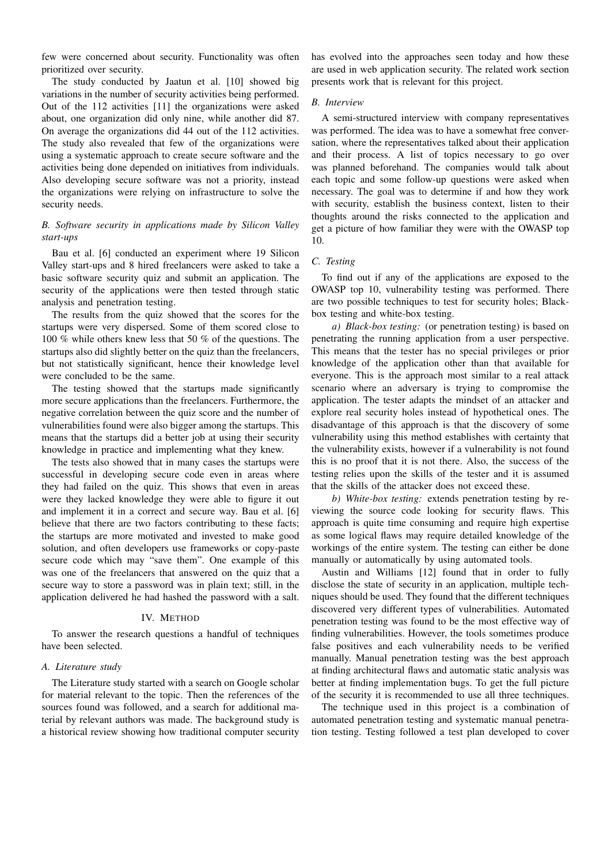few were concerned about security. Functionality was often prioritized over security.

The study conducted by Jaatun et al. [10] showed big variations in the number of security activities being performed. Out of the 112 activities [11] the organizations were asked about, one organization did only nine, while another did 87. On average the organizations did 44 out of the 112 activities. The study also revealed that few of the organizations were using a systematic approach to create secure software and the activities being done depended on initiatives from individuals. Also developing secure software was not a priority, instead the organizations were relying on infrastructure to solve the security needs.

# *B. Software security in applications made by Silicon Valley start-ups*

Bau et al. [6] conducted an experiment where 19 Silicon Valley start-ups and 8 hired freelancers were asked to take a basic software security quiz and submit an application. The security of the applications were then tested through static analysis and penetration testing.

The results from the quiz showed that the scores for the startups were very dispersed. Some of them scored close to 100 % while others knew less that 50 % of the questions. The startups also did slightly better on the quiz than the freelancers, but not statistically significant, hence their knowledge level were concluded to be the same.

The testing showed that the startups made significantly more secure applications than the freelancers. Furthermore, the negative correlation between the quiz score and the number of vulnerabilities found were also bigger among the startups. This means that the startups did a better job at using their security knowledge in practice and implementing what they knew.

The tests also showed that in many cases the startups were successful in developing secure code even in areas where they had failed on the quiz. This shows that even in areas were they lacked knowledge they were able to figure it out and implement it in a correct and secure way. Bau et al. [6] believe that there are two factors contributing to these facts; the startups are more motivated and invested to make good solution, and often developers use frameworks or copy-paste secure code which may "save them". One example of this was one of the freelancers that answered on the quiz that a secure way to store a password was in plain text; still, in the application delivered he had hashed the password with a salt.

#### IV. METHOD

To answer the research questions a handful of techniques have been selected.

#### *A. Literature study*

The Literature study started with a search on Google scholar for material relevant to the topic. Then the references of the sources found was followed, and a search for additional material by relevant authors was made. The background study is a historical review showing how traditional computer security

has evolved into the approaches seen today and how these are used in web application security. The related work section presents work that is relevant for this project.

#### *B. Interview*

A semi-structured interview with company representatives was performed. The idea was to have a somewhat free conversation, where the representatives talked about their application and their process. A list of topics necessary to go over was planned beforehand. The companies would talk about each topic and some follow-up questions were asked when necessary. The goal was to determine if and how they work with security, establish the business context, listen to their thoughts around the risks connected to the application and get a picture of how familiar they were with the OWASP top 10.

#### *C. Testing*

To find out if any of the applications are exposed to the OWASP top 10, vulnerability testing was performed. There are two possible techniques to test for security holes; Blackbox testing and white-box testing.

*a) Black-box testing:* (or penetration testing) is based on penetrating the running application from a user perspective. This means that the tester has no special privileges or prior knowledge of the application other than that available for everyone. This is the approach most similar to a real attack scenario where an adversary is trying to compromise the application. The tester adapts the mindset of an attacker and explore real security holes instead of hypothetical ones. The disadvantage of this approach is that the discovery of some vulnerability using this method establishes with certainty that the vulnerability exists, however if a vulnerability is not found this is no proof that it is not there. Also, the success of the testing relies upon the skills of the tester and it is assumed that the skills of the attacker does not exceed these.

*b) White-box testing:* extends penetration testing by reviewing the source code looking for security flaws. This approach is quite time consuming and require high expertise as some logical flaws may require detailed knowledge of the workings of the entire system. The testing can either be done manually or automatically by using automated tools.

Austin and Williams [12] found that in order to fully disclose the state of security in an application, multiple techniques should be used. They found that the different techniques discovered very different types of vulnerabilities. Automated penetration testing was found to be the most effective way of finding vulnerabilities. However, the tools sometimes produce false positives and each vulnerability needs to be verified manually. Manual penetration testing was the best approach at finding architectural flaws and automatic static analysis was better at finding implementation bugs. To get the full picture of the security it is recommended to use all three techniques.

The technique used in this project is a combination of automated penetration testing and systematic manual penetration testing. Testing followed a test plan developed to cover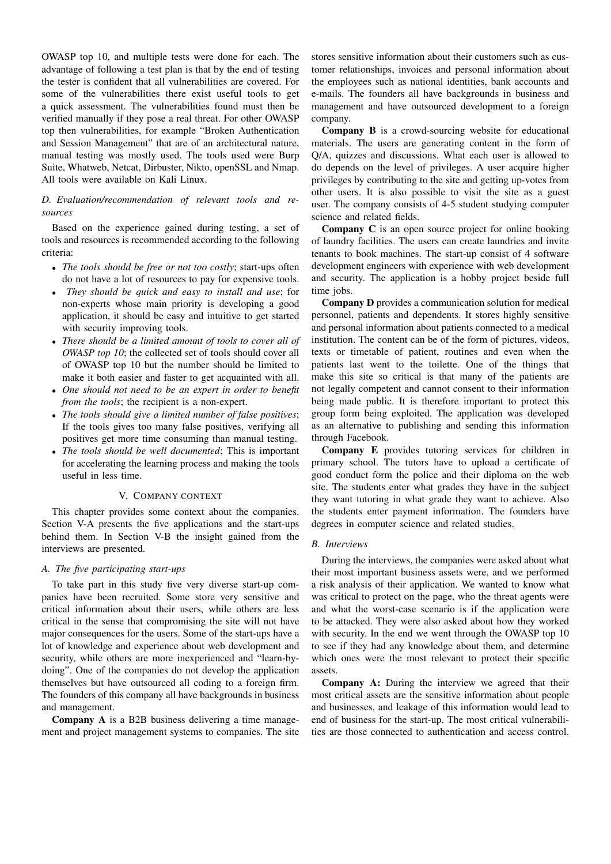OWASP top 10, and multiple tests were done for each. The advantage of following a test plan is that by the end of testing the tester is confident that all vulnerabilities are covered. For some of the vulnerabilities there exist useful tools to get a quick assessment. The vulnerabilities found must then be verified manually if they pose a real threat. For other OWASP top then vulnerabilities, for example "Broken Authentication and Session Management" that are of an architectural nature, manual testing was mostly used. The tools used were Burp Suite, Whatweb, Netcat, Dirbuster, Nikto, openSSL and Nmap. All tools were available on Kali Linux.

*D. Evaluation/recommendation of relevant tools and resources*

Based on the experience gained during testing, a set of tools and resources is recommended according to the following criteria:

- *The tools should be free or not too costly*; start-ups often do not have a lot of resources to pay for expensive tools.
- *They should be quick and easy to install and use*; for non-experts whose main priority is developing a good application, it should be easy and intuitive to get started with security improving tools.
- *There should be a limited amount of tools to cover all of OWASP top 10*; the collected set of tools should cover all of OWASP top 10 but the number should be limited to make it both easier and faster to get acquainted with all.
- *One should not need to be an expert in order to benefit from the tools*; the recipient is a non-expert.
- *The tools should give a limited number of false positives*; If the tools gives too many false positives, verifying all positives get more time consuming than manual testing.
- *The tools should be well documented*; This is important for accelerating the learning process and making the tools useful in less time.

## V. COMPANY CONTEXT

This chapter provides some context about the companies. Section V-A presents the five applications and the start-ups behind them. In Section V-B the insight gained from the interviews are presented.

#### *A. The five participating start-ups*

To take part in this study five very diverse start-up companies have been recruited. Some store very sensitive and critical information about their users, while others are less critical in the sense that compromising the site will not have major consequences for the users. Some of the start-ups have a lot of knowledge and experience about web development and security, while others are more inexperienced and "learn-bydoing". One of the companies do not develop the application themselves but have outsourced all coding to a foreign firm. The founders of this company all have backgrounds in business and management.

Company A is a B2B business delivering a time management and project management systems to companies. The site

stores sensitive information about their customers such as customer relationships, invoices and personal information about the employees such as national identities, bank accounts and e-mails. The founders all have backgrounds in business and management and have outsourced development to a foreign company.

Company B is a crowd-sourcing website for educational materials. The users are generating content in the form of Q/A, quizzes and discussions. What each user is allowed to do depends on the level of privileges. A user acquire higher privileges by contributing to the site and getting up-votes from other users. It is also possible to visit the site as a guest user. The company consists of 4-5 student studying computer science and related fields.

Company C is an open source project for online booking of laundry facilities. The users can create laundries and invite tenants to book machines. The start-up consist of 4 software development engineers with experience with web development and security. The application is a hobby project beside full time jobs.

Company D provides a communication solution for medical personnel, patients and dependents. It stores highly sensitive and personal information about patients connected to a medical institution. The content can be of the form of pictures, videos, texts or timetable of patient, routines and even when the patients last went to the toilette. One of the things that make this site so critical is that many of the patients are not legally competent and cannot consent to their information being made public. It is therefore important to protect this group form being exploited. The application was developed as an alternative to publishing and sending this information through Facebook.

Company E provides tutoring services for children in primary school. The tutors have to upload a certificate of good conduct form the police and their diploma on the web site. The students enter what grades they have in the subject they want tutoring in what grade they want to achieve. Also the students enter payment information. The founders have degrees in computer science and related studies.

#### *B. Interviews*

During the interviews, the companies were asked about what their most important business assets were, and we performed a risk analysis of their application. We wanted to know what was critical to protect on the page, who the threat agents were and what the worst-case scenario is if the application were to be attacked. They were also asked about how they worked with security. In the end we went through the OWASP top 10 to see if they had any knowledge about them, and determine which ones were the most relevant to protect their specific assets.

Company A: During the interview we agreed that their most critical assets are the sensitive information about people and businesses, and leakage of this information would lead to end of business for the start-up. The most critical vulnerabilities are those connected to authentication and access control.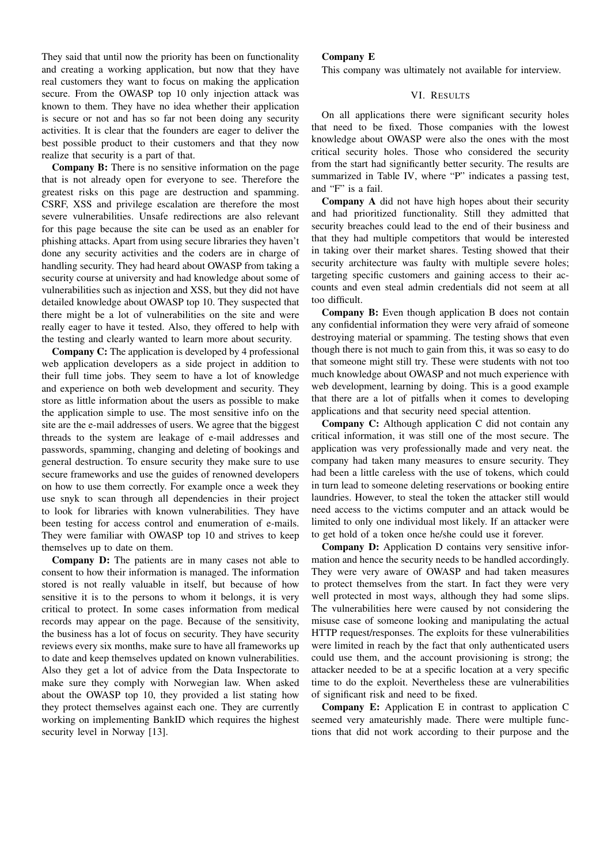They said that until now the priority has been on functionality and creating a working application, but now that they have real customers they want to focus on making the application secure. From the OWASP top 10 only injection attack was known to them. They have no idea whether their application is secure or not and has so far not been doing any security activities. It is clear that the founders are eager to deliver the best possible product to their customers and that they now realize that security is a part of that.

Company B: There is no sensitive information on the page that is not already open for everyone to see. Therefore the greatest risks on this page are destruction and spamming. CSRF, XSS and privilege escalation are therefore the most severe vulnerabilities. Unsafe redirections are also relevant for this page because the site can be used as an enabler for phishing attacks. Apart from using secure libraries they haven't done any security activities and the coders are in charge of handling security. They had heard about OWASP from taking a security course at university and had knowledge about some of vulnerabilities such as injection and XSS, but they did not have detailed knowledge about OWASP top 10. They suspected that there might be a lot of vulnerabilities on the site and were really eager to have it tested. Also, they offered to help with the testing and clearly wanted to learn more about security.

Company C: The application is developed by 4 professional web application developers as a side project in addition to their full time jobs. They seem to have a lot of knowledge and experience on both web development and security. They store as little information about the users as possible to make the application simple to use. The most sensitive info on the site are the e-mail addresses of users. We agree that the biggest threads to the system are leakage of e-mail addresses and passwords, spamming, changing and deleting of bookings and general destruction. To ensure security they make sure to use secure frameworks and use the guides of renowned developers on how to use them correctly. For example once a week they use snyk to scan through all dependencies in their project to look for libraries with known vulnerabilities. They have been testing for access control and enumeration of e-mails. They were familiar with OWASP top 10 and strives to keep themselves up to date on them.

Company D: The patients are in many cases not able to consent to how their information is managed. The information stored is not really valuable in itself, but because of how sensitive it is to the persons to whom it belongs, it is very critical to protect. In some cases information from medical records may appear on the page. Because of the sensitivity, the business has a lot of focus on security. They have security reviews every six months, make sure to have all frameworks up to date and keep themselves updated on known vulnerabilities. Also they get a lot of advice from the Data Inspectorate to make sure they comply with Norwegian law. When asked about the OWASP top 10, they provided a list stating how they protect themselves against each one. They are currently working on implementing BankID which requires the highest security level in Norway [13].

## Company E

This company was ultimately not available for interview.

# VI. RESULTS

On all applications there were significant security holes that need to be fixed. Those companies with the lowest knowledge about OWASP were also the ones with the most critical security holes. Those who considered the security from the start had significantly better security. The results are summarized in Table IV, where "P" indicates a passing test, and "F" is a fail.

Company A did not have high hopes about their security and had prioritized functionality. Still they admitted that security breaches could lead to the end of their business and that they had multiple competitors that would be interested in taking over their market shares. Testing showed that their security architecture was faulty with multiple severe holes; targeting specific customers and gaining access to their accounts and even steal admin credentials did not seem at all too difficult.

Company B: Even though application B does not contain any confidential information they were very afraid of someone destroying material or spamming. The testing shows that even though there is not much to gain from this, it was so easy to do that someone might still try. These were students with not too much knowledge about OWASP and not much experience with web development, learning by doing. This is a good example that there are a lot of pitfalls when it comes to developing applications and that security need special attention.

Company C: Although application C did not contain any critical information, it was still one of the most secure. The application was very professionally made and very neat. the company had taken many measures to ensure security. They had been a little careless with the use of tokens, which could in turn lead to someone deleting reservations or booking entire laundries. However, to steal the token the attacker still would need access to the victims computer and an attack would be limited to only one individual most likely. If an attacker were to get hold of a token once he/she could use it forever.

Company D: Application D contains very sensitive information and hence the security needs to be handled accordingly. They were very aware of OWASP and had taken measures to protect themselves from the start. In fact they were very well protected in most ways, although they had some slips. The vulnerabilities here were caused by not considering the misuse case of someone looking and manipulating the actual HTTP request/responses. The exploits for these vulnerabilities were limited in reach by the fact that only authenticated users could use them, and the account provisioning is strong; the attacker needed to be at a specific location at a very specific time to do the exploit. Nevertheless these are vulnerabilities of significant risk and need to be fixed.

Company E: Application E in contrast to application C seemed very amateurishly made. There were multiple functions that did not work according to their purpose and the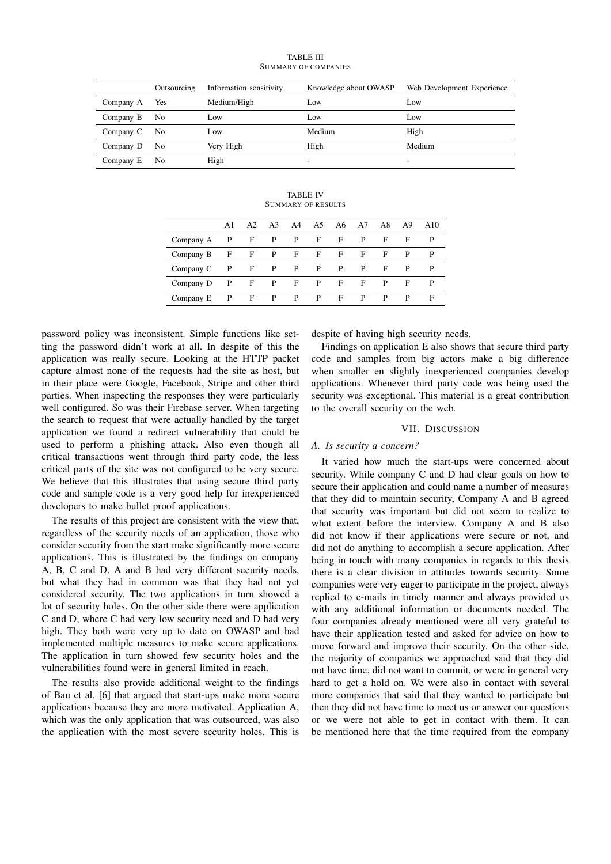| <b>TABLE III</b>            |  |  |  |  |  |  |  |
|-----------------------------|--|--|--|--|--|--|--|
| <b>SUMMARY OF COMPANIES</b> |  |  |  |  |  |  |  |

|           | Outsourcing    | Information sensitivity | Knowledge about OWASP | Web Development Experience |  |  |
|-----------|----------------|-------------------------|-----------------------|----------------------------|--|--|
| Company A | Yes            | Medium/High             | Low                   | Low                        |  |  |
| Company B | No.            | Low                     | Low                   | Low                        |  |  |
| Company C | No.            | Low.                    | Medium                | High                       |  |  |
| Company D | N <sub>0</sub> | Very High               | High                  | Medium                     |  |  |
| Company E | No             | High                    |                       |                            |  |  |

TABLE IV SUMMARY OF RESULTS

|           | A1           | A2 | AA <sup>3</sup> | A4           | A5           | A6. | A7 | A8 | A9 | A10 |
|-----------|--------------|----|-----------------|--------------|--------------|-----|----|----|----|-----|
| Company A | $\mathbf{P}$ | F  | P               | P            | - F          | F   | P  | F  | F  | P   |
| Company B | F            | F  | $\mathbf{P}$    | - F          | F            | F   | F  | F  | P  | P   |
| Company C | $\mathbf{P}$ | F  | P               | $\mathbf{P}$ | $\mathbf{P}$ | P   | P  | F  | P  | P   |
| Company D | $\mathbf{P}$ | F  | P               | -F           | $\mathbf{P}$ | F   | F  | P  | F  | P   |
| Company E | P            | F  | P               | P            | P            | F   | P  | P  | P  | F   |

password policy was inconsistent. Simple functions like setting the password didn't work at all. In despite of this the application was really secure. Looking at the HTTP packet capture almost none of the requests had the site as host, but in their place were Google, Facebook, Stripe and other third parties. When inspecting the responses they were particularly well configured. So was their Firebase server. When targeting the search to request that were actually handled by the target application we found a redirect vulnerability that could be used to perform a phishing attack. Also even though all critical transactions went through third party code, the less critical parts of the site was not configured to be very secure. We believe that this illustrates that using secure third party code and sample code is a very good help for inexperienced developers to make bullet proof applications.

The results of this project are consistent with the view that, regardless of the security needs of an application, those who consider security from the start make significantly more secure applications. This is illustrated by the findings on company A, B, C and D. A and B had very different security needs, but what they had in common was that they had not yet considered security. The two applications in turn showed a lot of security holes. On the other side there were application C and D, where C had very low security need and D had very high. They both were very up to date on OWASP and had implemented multiple measures to make secure applications. The application in turn showed few security holes and the vulnerabilities found were in general limited in reach.

The results also provide additional weight to the findings of Bau et al. [6] that argued that start-ups make more secure applications because they are more motivated. Application A, which was the only application that was outsourced, was also the application with the most severe security holes. This is despite of having high security needs.

Findings on application E also shows that secure third party code and samples from big actors make a big difference when smaller en slightly inexperienced companies develop applications. Whenever third party code was being used the security was exceptional. This material is a great contribution to the overall security on the web.

## VII. DISCUSSION

## *A. Is security a concern?*

It varied how much the start-ups were concerned about security. While company C and D had clear goals on how to secure their application and could name a number of measures that they did to maintain security, Company A and B agreed that security was important but did not seem to realize to what extent before the interview. Company A and B also did not know if their applications were secure or not, and did not do anything to accomplish a secure application. After being in touch with many companies in regards to this thesis there is a clear division in attitudes towards security. Some companies were very eager to participate in the project, always replied to e-mails in timely manner and always provided us with any additional information or documents needed. The four companies already mentioned were all very grateful to have their application tested and asked for advice on how to move forward and improve their security. On the other side, the majority of companies we approached said that they did not have time, did not want to commit, or were in general very hard to get a hold on. We were also in contact with several more companies that said that they wanted to participate but then they did not have time to meet us or answer our questions or we were not able to get in contact with them. It can be mentioned here that the time required from the company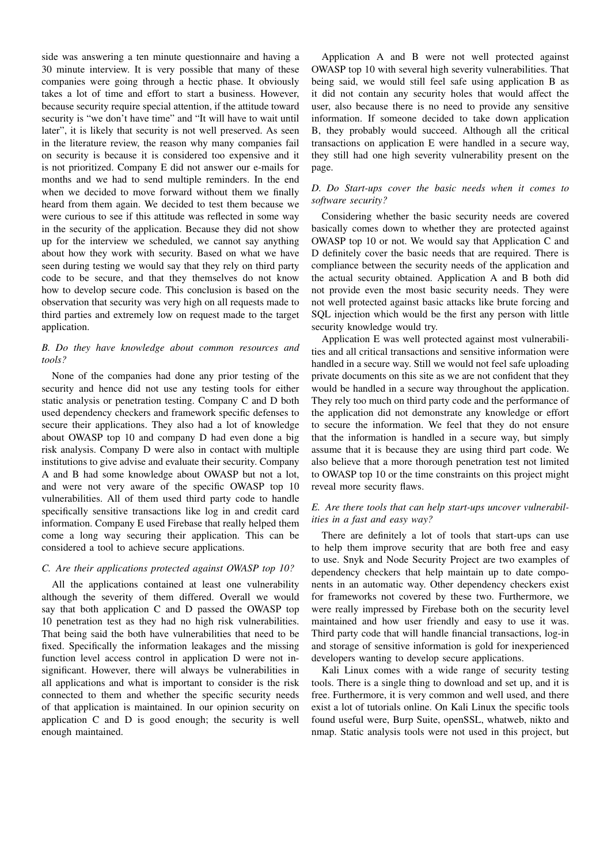side was answering a ten minute questionnaire and having a 30 minute interview. It is very possible that many of these companies were going through a hectic phase. It obviously takes a lot of time and effort to start a business. However, because security require special attention, if the attitude toward security is "we don't have time" and "It will have to wait until later", it is likely that security is not well preserved. As seen in the literature review, the reason why many companies fail on security is because it is considered too expensive and it is not prioritized. Company E did not answer our e-mails for months and we had to send multiple reminders. In the end when we decided to move forward without them we finally heard from them again. We decided to test them because we were curious to see if this attitude was reflected in some way in the security of the application. Because they did not show up for the interview we scheduled, we cannot say anything about how they work with security. Based on what we have seen during testing we would say that they rely on third party code to be secure, and that they themselves do not know how to develop secure code. This conclusion is based on the observation that security was very high on all requests made to third parties and extremely low on request made to the target application.

# *B. Do they have knowledge about common resources and tools?*

None of the companies had done any prior testing of the security and hence did not use any testing tools for either static analysis or penetration testing. Company C and D both used dependency checkers and framework specific defenses to secure their applications. They also had a lot of knowledge about OWASP top 10 and company D had even done a big risk analysis. Company D were also in contact with multiple institutions to give advise and evaluate their security. Company A and B had some knowledge about OWASP but not a lot, and were not very aware of the specific OWASP top 10 vulnerabilities. All of them used third party code to handle specifically sensitive transactions like log in and credit card information. Company E used Firebase that really helped them come a long way securing their application. This can be considered a tool to achieve secure applications.

# *C. Are their applications protected against OWASP top 10?*

All the applications contained at least one vulnerability although the severity of them differed. Overall we would say that both application C and D passed the OWASP top 10 penetration test as they had no high risk vulnerabilities. That being said the both have vulnerabilities that need to be fixed. Specifically the information leakages and the missing function level access control in application D were not insignificant. However, there will always be vulnerabilities in all applications and what is important to consider is the risk connected to them and whether the specific security needs of that application is maintained. In our opinion security on application C and D is good enough; the security is well enough maintained.

Application A and B were not well protected against OWASP top 10 with several high severity vulnerabilities. That being said, we would still feel safe using application B as it did not contain any security holes that would affect the user, also because there is no need to provide any sensitive information. If someone decided to take down application B, they probably would succeed. Although all the critical transactions on application E were handled in a secure way, they still had one high severity vulnerability present on the page.

# *D. Do Start-ups cover the basic needs when it comes to software security?*

Considering whether the basic security needs are covered basically comes down to whether they are protected against OWASP top 10 or not. We would say that Application C and D definitely cover the basic needs that are required. There is compliance between the security needs of the application and the actual security obtained. Application A and B both did not provide even the most basic security needs. They were not well protected against basic attacks like brute forcing and SQL injection which would be the first any person with little security knowledge would try.

Application E was well protected against most vulnerabilities and all critical transactions and sensitive information were handled in a secure way. Still we would not feel safe uploading private documents on this site as we are not confident that they would be handled in a secure way throughout the application. They rely too much on third party code and the performance of the application did not demonstrate any knowledge or effort to secure the information. We feel that they do not ensure that the information is handled in a secure way, but simply assume that it is because they are using third part code. We also believe that a more thorough penetration test not limited to OWASP top 10 or the time constraints on this project might reveal more security flaws.

# *E. Are there tools that can help start-ups uncover vulnerabilities in a fast and easy way?*

There are definitely a lot of tools that start-ups can use to help them improve security that are both free and easy to use. Snyk and Node Security Project are two examples of dependency checkers that help maintain up to date components in an automatic way. Other dependency checkers exist for frameworks not covered by these two. Furthermore, we were really impressed by Firebase both on the security level maintained and how user friendly and easy to use it was. Third party code that will handle financial transactions, log-in and storage of sensitive information is gold for inexperienced developers wanting to develop secure applications.

Kali Linux comes with a wide range of security testing tools. There is a single thing to download and set up, and it is free. Furthermore, it is very common and well used, and there exist a lot of tutorials online. On Kali Linux the specific tools found useful were, Burp Suite, openSSL, whatweb, nikto and nmap. Static analysis tools were not used in this project, but